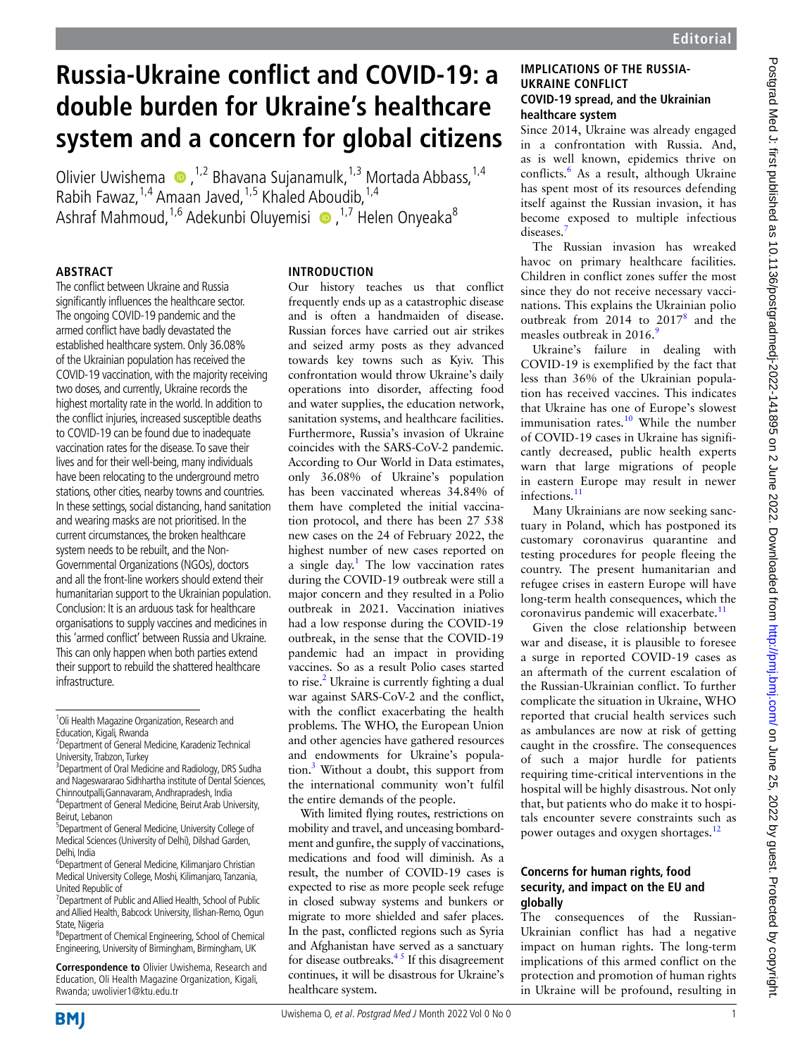# **Russia-Ukraine conflict and COVID-19: a double burden for Ukraine's healthcare system and a concern for global citizens**

OlivierUwishema  $\bullet$ ,<sup>1,2</sup> Bhavana Sujanamulk,<sup>1,3</sup> Mortada Abbass,<sup>1,4</sup> Rabih Fawaz,  $1.4$  Amaan Javed,  $1.5$  Khaled Aboudib,  $1.4$ AshrafMahmoud,  $1,6$  Adekunbi Oluvemisi  $\bullet$ ,  $1,7$  Helen Onyeaka<sup>8</sup>

#### **Abstract**

The conflict between Ukraine and Russia significantly influences the healthcare sector. The ongoing COVID-19 pandemic and the armed conflict have badly devastated the established healthcare system. Only 36.08% of the Ukrainian population has received the COVID-19 vaccination, with the majority receiving two doses, and currently, Ukraine records the highest mortality rate in the world. In addition to the conflict injuries, increased susceptible deaths to COVID-19 can be found due to inadequate vaccination rates for the disease. To save their lives and for their well-being, many individuals have been relocating to the underground metro stations, other cities, nearby towns and countries. In these settings, social distancing, hand sanitation and wearing masks are not prioritised. In the current circumstances, the broken healthcare system needs to be rebuilt, and the Non-Governmental Organizations (NGOs), doctors and all the front-line workers should extend their humanitarian support to the Ukrainian population. Conclusion: It is an arduous task for healthcare organisations to supply vaccines and medicines in this 'armed conflict' between Russia and Ukraine. This can only happen when both parties extend their support to rebuild the shattered healthcare infrastructure.

**Correspondence to** Olivier Uwishema, Research and Education, Oli Health Magazine Organization, Kigali, Rwanda; uwolivier1@ktu.edu.tr

#### **Introduction**

Our history teaches us that conflict frequently ends up as a catastrophic disease and is often a handmaiden of disease. Russian forces have carried out air strikes and seized army posts as they advanced towards key towns such as Kyiv. This confrontation would throw Ukraine's daily operations into disorder, affecting food and water supplies, the education network, sanitation systems, and healthcare facilities. Furthermore, Russia's invasion of Ukraine coincides with the SARS-CoV-2 pandemic. According to Our World in Data estimates, only 36.08% of Ukraine's population has been vaccinated whereas 34.84% of them have completed the initial vaccination protocol, and there has been 27 538 new cases on the 24 of February 2022, the highest number of new cases reported on a single day.<sup>[1](#page-2-0)</sup> The low vaccination rates during the COVID-19 outbreak were still a major concern and they resulted in a Polio outbreak in 2021. Vaccination iniatives had a low response during the COVID-19 outbreak, in the sense that the COVID-19 pandemic had an impact in providing vaccines. So as a result Polio cases started to rise.<sup>2</sup> Ukraine is currently fighting a dual war against SARS-CoV-2 and the conflict, with the conflict exacerbating the health problems. The WHO, the European Union and other agencies have gathered resources and endowments for Ukraine's population.<sup>3</sup> Without a doubt, this support from the international community won't fulfil the entire demands of the people.

With limited flying routes, restrictions on mobility and travel, and unceasing bombardment and gunfire, the supply of vaccinations, medications and food will diminish. As a result, the number of COVID-19 cases is expected to rise as more people seek refuge in closed subway systems and bunkers or migrate to more shielded and safer places. In the past, conflicted regions such as Syria and Afghanistan have served as a sanctuary for disease outbreaks. $4<sup>5</sup>$  If this disagreement continues, it will be disastrous for Ukraine's healthcare system.

#### **Implications of the Russia-Ukraine conflict COVID-19 spread, and the Ukrainian healthcare system**

Since 2014, Ukraine was already engaged in a confrontation with Russia. And, as is well known, epidemics thrive on conflicts.<sup>[6](#page-2-4)</sup> As a result, although Ukraine has spent most of its resources defending itself against the Russian invasion, it has become exposed to multiple infectious diseases.<sup>[7](#page-2-5)</sup>

The Russian invasion has wreaked havoc on primary healthcare facilities. Children in conflict zones suffer the most since they do not receive necessary vaccinations. This explains the Ukrainian polio outbreak from 2014 to 2017<sup>[8](#page-2-6)</sup> and the measles outbreak in  $2016<sup>9</sup>$ 

Ukraine's failure in dealing with COVID-19 is exemplified by the fact that less than 36% of the Ukrainian population has received vaccines. This indicates that Ukraine has one of Europe's slowest immunisation rates.<sup>10</sup> While the number of COVID-19 cases in Ukraine has significantly decreased, public health experts warn that large migrations of people in eastern Europe may result in newer infections.<sup>11</sup>

Many Ukrainians are now seeking sanctuary in Poland, which has postponed its customary coronavirus quarantine and testing procedures for people fleeing the country. The present humanitarian and refugee crises in eastern Europe will have long-term health consequences, which the coronavirus pandemic will exacerbate.<sup>11</sup>

Given the close relationship between war and disease, it is plausible to foresee a surge in reported COVID-19 cases as an aftermath of the current escalation of the Russian-Ukrainian conflict. To further complicate the situation in Ukraine, WHO reported that crucial health services such as ambulances are now at risk of getting caught in the crossfire. The consequences of such a major hurdle for patients requiring time-critical interventions in the hospital will be highly disastrous. Not only that, but patients who do make it to hospitals encounter severe constraints such as power outages and oxygen shortages.<sup>[12](#page-2-10)</sup>

#### **Concerns for human rights, food security, and impact on the EU and globally**

The consequences of the Russian-Ukrainian conflict has had a negative impact on human rights. The long-term implications of this armed conflict on the protection and promotion of human rights in Ukraine will be profound, resulting in



<sup>&</sup>lt;sup>1</sup>Oli Health Magazine Organization, Research and Education, Kigali, Rwanda

<sup>2</sup> Department of General Medicine, Karadeniz Technical University, Trabzon, Turkey

<sup>&</sup>lt;sup>3</sup> Department of Oral Medicine and Radiology, DRS Sudha and Nageswararao Sidhhartha institute of Dental Sciences, Chinnoutpalli,Gannavaram, Andhrapradesh, India 4 Department of General Medicine, Beirut Arab University,

Beirut, Lebanon 5 Department of General Medicine, University College of

Medical Sciences (University of Delhi), Dilshad Garden, Delhi, India

<sup>6</sup> Department of General Medicine, Kilimanjaro Christian Medical University College, Moshi, Kilimanjaro, Tanzania, United Republic of

<sup>7</sup> Department of Public and Allied Health, School of Public and Allied Health, Babcock University, Ilishan-Remo, Ogun State, Nigeria

<sup>8</sup> Department of Chemical Engineering, School of Chemical Engineering, University of Birmingham, Birmingham, UK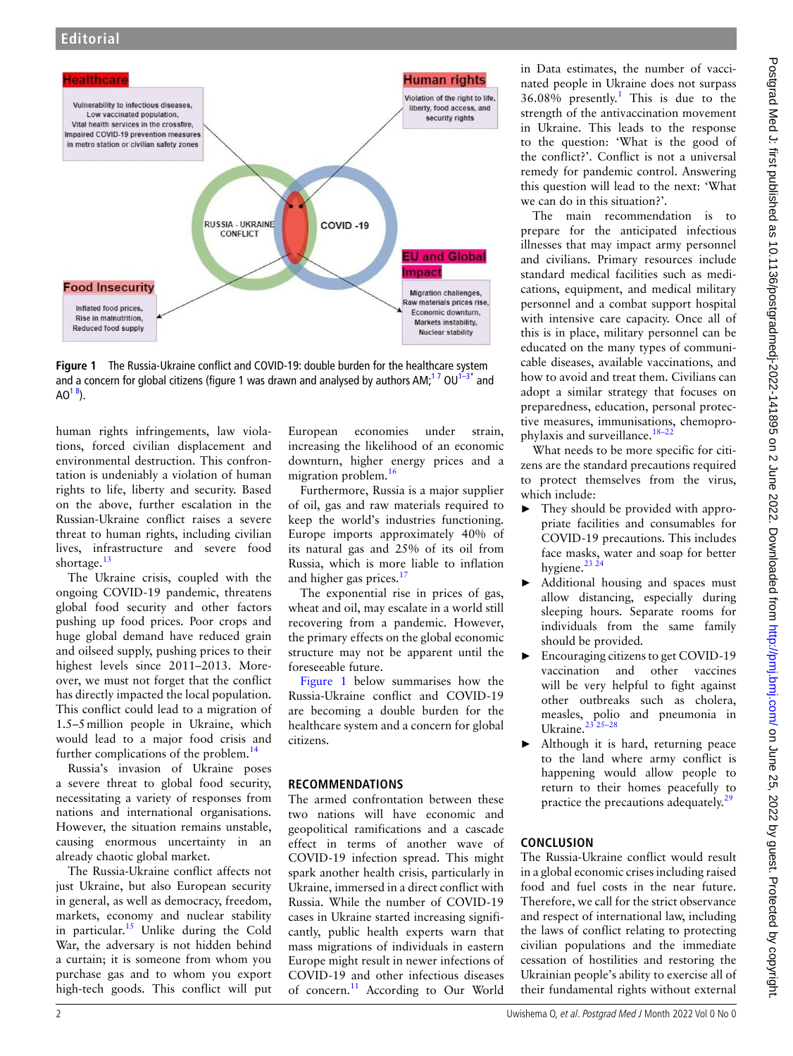

<span id="page-1-0"></span>**Figure 1** The Russia-Ukraine conflict and COVID-19: double burden for the healthcare system and a concern for global citizens [\(figure 1](#page-1-0) was drawn and analysed by authors AM;<sup>17</sup> OU<sup>1–3\*</sup> and  $AO^{18}$ ).

human rights infringements, law violations, forced civilian displacement and environmental destruction. This confrontation is undeniably a violation of human rights to life, liberty and security. Based on the above, further escalation in the Russian-Ukraine conflict raises a severe threat to human rights, including civilian lives, infrastructure and severe food shortage.<sup>[13](#page-2-11)</sup>

The Ukraine crisis, coupled with the ongoing COVID-19 pandemic, threatens global food security and other factors pushing up food prices. Poor crops and huge global demand have reduced grain and oilseed supply, pushing prices to their highest levels since 2011–2013. Moreover, we must not forget that the conflict has directly impacted the local population. This conflict could lead to a migration of 1.5–5million people in Ukraine, which would lead to a major food crisis and further complications of the problem. $14$ 

Russia's invasion of Ukraine poses a severe threat to global food security, necessitating a variety of responses from nations and international organisations. However, the situation remains unstable, causing enormous uncertainty in an already chaotic global market.

The Russia-Ukraine conflict affects not just Ukraine, but also European security in general, as well as democracy, freedom, markets, economy and nuclear stability in particular.<sup>15</sup> Unlike during the Cold War, the adversary is not hidden behind a curtain; it is someone from whom you purchase gas and to whom you export high-tech goods. This conflict will put European economies under strain, increasing the likelihood of an economic downturn, higher energy prices and a migration problem.<sup>[16](#page-2-14)</sup>

Furthermore, Russia is a major supplier of oil, gas and raw materials required to keep the world's industries functioning. Europe imports approximately 40% of its natural gas and 25% of its oil from Russia, which is more liable to inflation and higher gas prices. $17$ 

The exponential rise in prices of gas, wheat and oil, may escalate in a world still recovering from a pandemic. However, the primary effects on the global economic structure may not be apparent until the foreseeable future.

[Figure](#page-1-0) 1 below summarises how the Russia-Ukraine conflict and COVID-19 are becoming a double burden for the healthcare system and a concern for global citizens.

### **Recommendations**

The armed confrontation between these two nations will have economic and geopolitical ramifications and a cascade effect in terms of another wave of COVID-19 infection spread. This might spark another health crisis, particularly in Ukraine, immersed in a direct conflict with Russia. While the number of COVID-19 cases in Ukraine started increasing significantly, public health experts warn that mass migrations of individuals in eastern Europe might result in newer infections of COVID-19 and other infectious diseases of concern.<sup>11</sup> According to Our World

in Data estimates, the number of vaccinated people in Ukraine does not surpass  $36.08\%$  presently.<sup>[1](#page-2-0)</sup> This is due to the strength of the antivaccination movement in Ukraine. This leads to the response to the question: 'What is the good of the conflict?'. Conflict is not a universal remedy for pandemic control. Answering this question will lead to the next: 'What we can do in this situation?'.

The main recommendation is to prepare for the anticipated infectious illnesses that may impact army personnel and civilians. Primary resources include standard medical facilities such as medications, equipment, and medical military personnel and a combat support hospital with intensive care capacity. Once all of this is in place, military personnel can be educated on the many types of communicable diseases, available vaccinations, and how to avoid and treat them. Civilians can adopt a similar strategy that focuses on preparedness, education, personal protective measures, immunisations, chemoprophylaxis and surveillance[.18–22](#page-2-16)

What needs to be more specific for citizens are the standard precautions required to protect themselves from the virus, which include:

- ► They should be provided with appropriate facilities and consumables for COVID-19 precautions. This includes face masks, water and soap for better hygiene.<sup>23</sup> <sup>24</sup>
- ► Additional housing and spaces must allow distancing, especially during sleeping hours. Separate rooms for individuals from the same family should be provided.
- ► Encouraging citizens to get COVID-19 vaccination and other vaccines will be very helpful to fight against other outbreaks such as cholera, measles, polio and pneumonia in Ukraine.<sup>2</sup>
- ► Although it is hard, returning peace to the land where army conflict is happening would allow people to return to their homes peacefully to practice the precautions adequately.<sup>2</sup>

## **Conclusion**

The Russia-Ukraine conflict would result in a global economic crises including raised food and fuel costs in the near future. Therefore, we call for the strict observance and respect of international law, including the laws of conflict relating to protecting civilian populations and the immediate cessation of hostilities and restoring the Ukrainian people's ability to exercise all of their fundamental rights without external